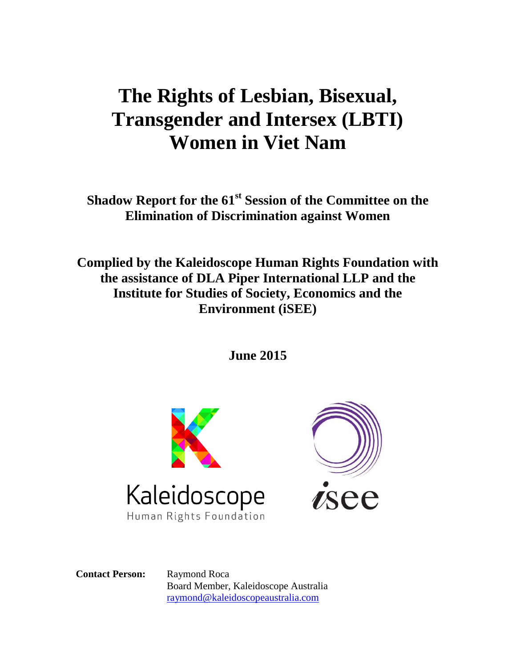# **The Rights of Lesbian, Bisexual, Transgender and Intersex (LBTI) Women in Viet Nam**

**Shadow Report for the 61st Session of the Committee on the Elimination of Discrimination against Women**

**Complied by the Kaleidoscope Human Rights Foundation with the assistance of DLA Piper International LLP and the Institute for Studies of Society, Economics and the Environment (iSEE)**

**June 2015**





**Contact Person:** Raymond Roca Board Member, Kaleidoscope Australia [raymond@kaleidoscopeaustralia.com](mailto:raymond@kaleidoscopeaustralia.com)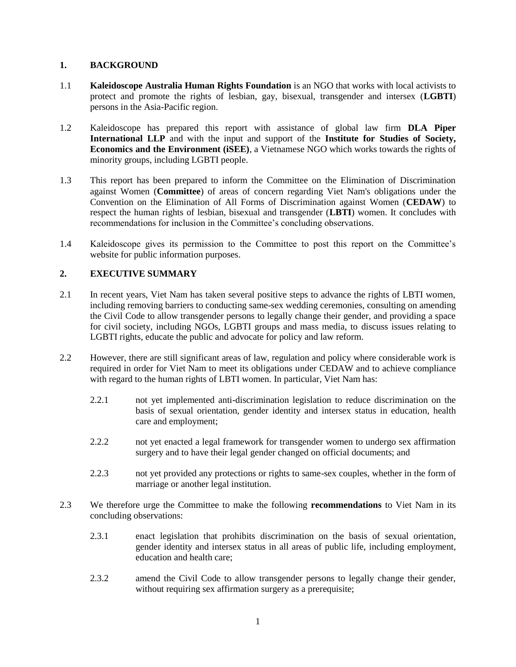# **1. BACKGROUND**

- 1.1 **Kaleidoscope Australia Human Rights Foundation** is an NGO that works with local activists to protect and promote the rights of lesbian, gay, bisexual, transgender and intersex (**LGBTI**) persons in the Asia-Pacific region.
- 1.2 Kaleidoscope has prepared this report with assistance of global law firm **DLA Piper International LLP** and with the input and support of the **Institute for Studies of Society, Economics and the Environment (iSEE)**, a Vietnamese NGO which works towards the rights of minority groups, including LGBTI people.
- 1.3 This report has been prepared to inform the Committee on the Elimination of Discrimination against Women (**Committee**) of areas of concern regarding Viet Nam's obligations under the Convention on the Elimination of All Forms of Discrimination against Women (**CEDAW**) to respect the human rights of lesbian, bisexual and transgender (**LBTI**) women. It concludes with recommendations for inclusion in the Committee's concluding observations.
- 1.4 Kaleidoscope gives its permission to the Committee to post this report on the Committee's website for public information purposes.

# **2. EXECUTIVE SUMMARY**

- 2.1 In recent years, Viet Nam has taken several positive steps to advance the rights of LBTI women, including removing barriers to conducting same-sex wedding ceremonies, consulting on amending the Civil Code to allow transgender persons to legally change their gender, and providing a space for civil society, including NGOs, LGBTI groups and mass media, to discuss issues relating to LGBTI rights, educate the public and advocate for policy and law reform.
- 2.2 However, there are still significant areas of law, regulation and policy where considerable work is required in order for Viet Nam to meet its obligations under CEDAW and to achieve compliance with regard to the human rights of LBTI women. In particular, Viet Nam has:
	- 2.2.1 not yet implemented anti-discrimination legislation to reduce discrimination on the basis of sexual orientation, gender identity and intersex status in education, health care and employment;
	- 2.2.2 not yet enacted a legal framework for transgender women to undergo sex affirmation surgery and to have their legal gender changed on official documents; and
	- 2.2.3 not yet provided any protections or rights to same-sex couples, whether in the form of marriage or another legal institution.
- 2.3 We therefore urge the Committee to make the following **recommendations** to Viet Nam in its concluding observations:
	- 2.3.1 enact legislation that prohibits discrimination on the basis of sexual orientation, gender identity and intersex status in all areas of public life, including employment, education and health care;
	- 2.3.2 amend the Civil Code to allow transgender persons to legally change their gender, without requiring sex affirmation surgery as a prerequisite;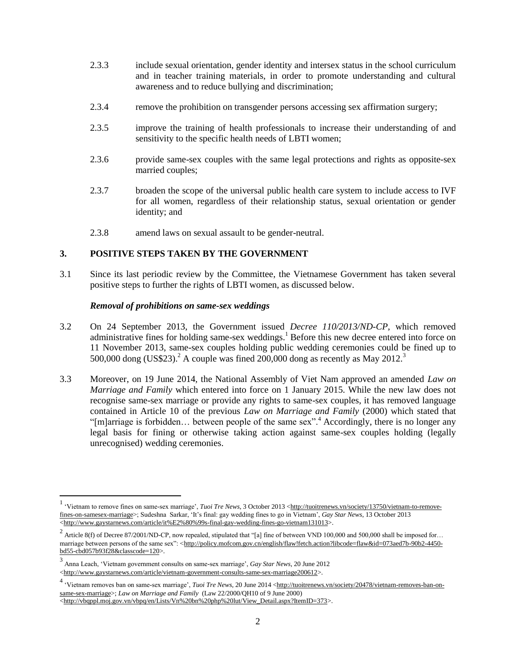- 2.3.3 include sexual orientation, gender identity and intersex status in the school curriculum and in teacher training materials, in order to promote understanding and cultural awareness and to reduce bullying and discrimination;
- 2.3.4 remove the prohibition on transgender persons accessing sex affirmation surgery;
- 2.3.5 improve the training of health professionals to increase their understanding of and sensitivity to the specific health needs of LBTI women;
- 2.3.6 provide same-sex couples with the same legal protections and rights as opposite-sex married couples;
- 2.3.7 broaden the scope of the universal public health care system to include access to IVF for all women, regardless of their relationship status, sexual orientation or gender identity; and
- 2.3.8 amend laws on sexual assault to be gender-neutral.

## **3. POSITIVE STEPS TAKEN BY THE GOVERNMENT**

3.1 Since its last periodic review by the Committee, the Vietnamese Government has taken several positive steps to further the rights of LBTI women, as discussed below.

#### *Removal of prohibitions on same-sex weddings*

- 3.2 On 24 September 2013, the Government issued *Decree 110/2013/ND-CP*, which removed administrative fines for holding same-sex weddings.<sup>1</sup> Before this new decree entered into force on 11 November 2013, same-sex couples holding public wedding ceremonies could be fined up to 500,000 dong (US\$23).<sup>2</sup> A couple was fined 200,000 dong as recently as May 2012.<sup>3</sup>
- 3.3 Moreover, on 19 June 2014, the National Assembly of Viet Nam approved an amended *Law on Marriage and Family* which entered into force on 1 January 2015. While the new law does not recognise same-sex marriage or provide any rights to same-sex couples, it has removed language contained in Article 10 of the previous *Law on Marriage and Family* (2000) which stated that "[m]arriage is forbidden... between people of the same sex".<sup>4</sup> Accordingly, there is no longer any legal basis for fining or otherwise taking action against same-sex couples holding (legally unrecognised) wedding ceremonies.

<sup>&</sup>lt;sup>1</sup> 'Vietnam to remove fines on same-sex marriage', *Tuoi Tre News*, 3 October 2013 [<http://tuoitrenews.vn/society/13750/vietnam-to-remove](http://tuoitrenews.vn/society/13750/vietnam-to-remove-fines-on-samesex-marriage)[fines-on-samesex-marriage>](http://tuoitrenews.vn/society/13750/vietnam-to-remove-fines-on-samesex-marriage); Sudeshna Sarkar, 'It's final: gay wedding fines to go in Vietnam', *Gay Star News*, 13 October 2013  $\overline{\text{K}}$ thtp://www.gaystarnews.com/article/it%E2%80%99s-final-gay-wedding-fines-go-vietnam131013>.

<sup>&</sup>lt;sup>2</sup> Article 8(f) of Decree 87/2001/ND-CP, now repealed, stipulated that "[a] fine of between VND 100,000 and 500,000 shall be imposed for... marriage between persons of the same sex": [<http://policy.mofcom.gov.cn/english/flaw!fetch.action?libcode=flaw&id=073aed7b-90b2-4450](http://policy.mofcom.gov.cn/english/flaw!fetch.action?libcode=flaw&id=073aed7b-90b2-4450-bd55-cbd057b93f28&classcode=120) [bd55-cbd057b93f28&classcode=120>](http://policy.mofcom.gov.cn/english/flaw!fetch.action?libcode=flaw&id=073aed7b-90b2-4450-bd55-cbd057b93f28&classcode=120).

<sup>3</sup> Anna Leach, 'Vietnam government consults on same-sex marriage', *Gay Star News*, 20 June 2012 [<http://www.gaystarnews.com/article/vietnam-government-consults-same-sex-marriage200612>](http://www.gaystarnews.com/article/vietnam-government-consults-same-sex-marriage200612).

<sup>&</sup>lt;sup>4</sup> 'Vietnam removes ban on same-sex marriage', *Tuoi Tre News*, 20 June 2014 [<http://tuoitrenews.vn/society/20478/vietnam-removes-ban-on](http://tuoitrenews.vn/society/20478/vietnam-removes-ban-on-same-sex-marriage)[same-sex-marriage>](http://tuoitrenews.vn/society/20478/vietnam-removes-ban-on-same-sex-marriage); *Law on Marriage and Family* (Law 22/2000/QH10 of 9 June 2000)

[<sup>&</sup>lt;http://vbqppl.moj.gov.vn/vbpq/en/Lists/Vn%20bn%20php%20lut/View\\_Detail.aspx?ItemID=373>](http://vbqppl.moj.gov.vn/vbpq/en/Lists/Vn%20bn%20php%20lut/View_Detail.aspx?ItemID=373).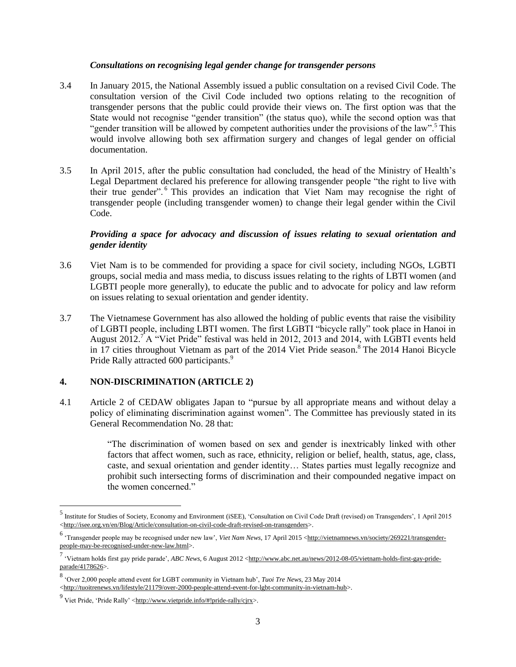#### *Consultations on recognising legal gender change for transgender persons*

- 3.4 In January 2015, the National Assembly issued a public consultation on a revised Civil Code. The consultation version of the Civil Code included two options relating to the recognition of transgender persons that the public could provide their views on. The first option was that the State would not recognise "gender transition" (the status quo), while the second option was that "gender transition will be allowed by competent authorities under the provisions of the law".<sup>5</sup> This would involve allowing both sex affirmation surgery and changes of legal gender on official documentation.
- 3.5 In April 2015, after the public consultation had concluded, the head of the Ministry of Health's Legal Department declared his preference for allowing transgender people "the right to live with their true gender". <sup>6</sup> This provides an indication that Viet Nam may recognise the right of transgender people (including transgender women) to change their legal gender within the Civil Code.

# *Providing a space for advocacy and discussion of issues relating to sexual orientation and gender identity*

- 3.6 Viet Nam is to be commended for providing a space for civil society, including NGOs, LGBTI groups, social media and mass media, to discuss issues relating to the rights of LBTI women (and LGBTI people more generally), to educate the public and to advocate for policy and law reform on issues relating to sexual orientation and gender identity.
- 3.7 The Vietnamese Government has also allowed the holding of public events that raise the visibility of LGBTI people, including LBTI women. The first LGBTI "bicycle rally" took place in Hanoi in August 2012.<sup>7</sup> A "Viet Pride" festival was held in 2012, 2013 and 2014, with LGBTI events held in 17 cities throughout Vietnam as part of the 2014 Viet Pride season.<sup>8</sup> The 2014 Hanoi Bicycle Pride Rally attracted 600 participants.<sup>9</sup>

## **4. NON-DISCRIMINATION (ARTICLE 2)**

4.1 Article 2 of CEDAW obligates Japan to "pursue by all appropriate means and without delay a policy of eliminating discrimination against women". The Committee has previously stated in its General Recommendation No. 28 that:

> "The discrimination of women based on sex and gender is inextricably linked with other factors that affect women, such as race, ethnicity, religion or belief, health, status, age, class, caste, and sexual orientation and gender identity… States parties must legally recognize and prohibit such intersecting forms of discrimination and their compounded negative impact on the women concerned."

8 'Over 2,000 people attend event for LGBT community in Vietnam hub', *Tuoi Tre News*, 23 May 2014

[<http://tuoitrenews.vn/lifestyle/21179/over-2000-people-attend-event-for-lgbt-community-in-vietnam-hub>](http://tuoitrenews.vn/lifestyle/21179/over-2000-people-attend-event-for-lgbt-community-in-vietnam-hub).

<sup>&</sup>lt;sup>5</sup> Institute for Studies of Society, Economy and Environment (iSEE), 'Consultation on Civil Code Draft (revised) on Transgenders', 1 April 2015 [<http://isee.org.vn/en/Blog/Article/consultation-on-civil-code-draft-revised-on-transgenders>](http://isee.org.vn/en/Blog/Article/consultation-on-civil-code-draft-revised-on-transgenders).

<sup>&</sup>lt;sup>6</sup> 'Transgender people may be recognised under new law', *Viet Nam News*, 17 April 2015 [<http://vietnamnews.vn/society/269221/transgender](http://vietnamnews.vn/society/269221/transgender-people-may-be-recognised-under-new-law.html)[people-may-be-recognised-under-new-law.html>](http://vietnamnews.vn/society/269221/transgender-people-may-be-recognised-under-new-law.html).

<sup>7</sup> Vietnam holds first gay pride parade', *ABC News*, 6 August 2012 [<http://www.abc.net.au/news/2012-08-05/vietnam-holds-first-gay-pride](http://www.abc.net.au/news/2012-08-05/vietnam-holds-first-gay-pride-parade/4178626)[parade/4178626>](http://www.abc.net.au/news/2012-08-05/vietnam-holds-first-gay-pride-parade/4178626).

<sup>9&</sup>lt;br>Viet Pride, 'Pride Rally' [<http://www.vietpride.info/#!pride-rally/cjrx>](http://www.vietpride.info/#!pride-rally/cjrx).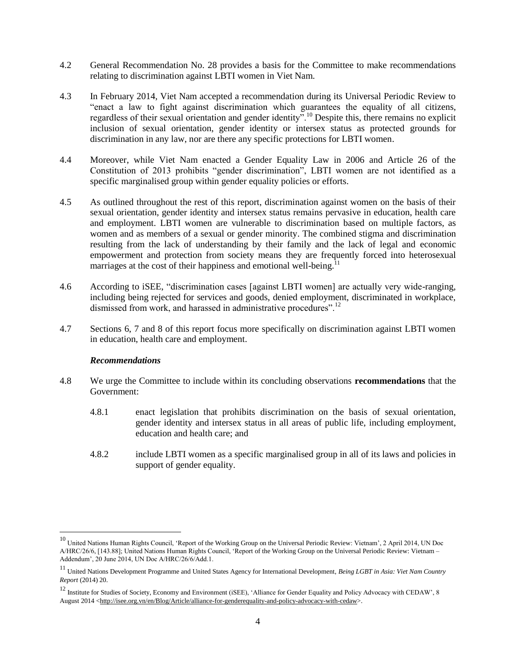- 4.2 General Recommendation No. 28 provides a basis for the Committee to make recommendations relating to discrimination against LBTI women in Viet Nam.
- 4.3 In February 2014, Viet Nam accepted a recommendation during its Universal Periodic Review to "enact a law to fight against discrimination which guarantees the equality of all citizens, regardless of their sexual orientation and gender identity".<sup>10</sup> Despite this, there remains no explicit inclusion of sexual orientation, gender identity or intersex status as protected grounds for discrimination in any law, nor are there any specific protections for LBTI women.
- 4.4 Moreover, while Viet Nam enacted a Gender Equality Law in 2006 and Article 26 of the Constitution of 2013 prohibits "gender discrimination", LBTI women are not identified as a specific marginalised group within gender equality policies or efforts.
- 4.5 As outlined throughout the rest of this report, discrimination against women on the basis of their sexual orientation, gender identity and intersex status remains pervasive in education, health care and employment. LBTI women are vulnerable to discrimination based on multiple factors, as women and as members of a sexual or gender minority. The combined stigma and discrimination resulting from the lack of understanding by their family and the lack of legal and economic empowerment and protection from society means they are frequently forced into heterosexual marriages at the cost of their happiness and emotional well-being.<sup>1</sup>
- 4.6 According to iSEE, "discrimination cases [against LBTI women] are actually very wide-ranging, including being rejected for services and goods, denied employment, discriminated in workplace, dismissed from work, and harassed in administrative procedures".<sup>12</sup>
- 4.7 Sections 6, 7 and 8 of this report focus more specifically on discrimination against LBTI women in education, health care and employment.

- 4.8 We urge the Committee to include within its concluding observations **recommendations** that the Government:
	- 4.8.1 enact legislation that prohibits discrimination on the basis of sexual orientation, gender identity and intersex status in all areas of public life, including employment, education and health care; and
	- 4.8.2 include LBTI women as a specific marginalised group in all of its laws and policies in support of gender equality.

<sup>&</sup>lt;sup>10</sup> United Nations Human Rights Council, 'Report of the Working Group on the Universal Periodic Review: Vietnam', 2 April 2014, UN Doc A/HRC/26/6, [143.88]; United Nations Human Rights Council, 'Report of the Working Group on the Universal Periodic Review: Vietnam – Addendum', 20 June 2014, UN Doc A/HRC/26/6/Add.1.

<sup>11</sup> United Nations Development Programme and United States Agency for International Development, *Being LGBT in Asia: Viet Nam Country Report* (2014) 20.

<sup>&</sup>lt;sup>12</sup> Institute for Studies of Society, Economy and Environment (iSEE), 'Alliance for Gender Equality and Policy Advocacy with CEDAW', 8 August 2014 [<http://isee.org.vn/en/Blog/Article/alliance-for-genderequality-and-policy-advocacy-with-cedaw>](http://isee.org.vn/en/Blog/Article/alliance-for-genderequality-and-policy-advocacy-with-cedaw).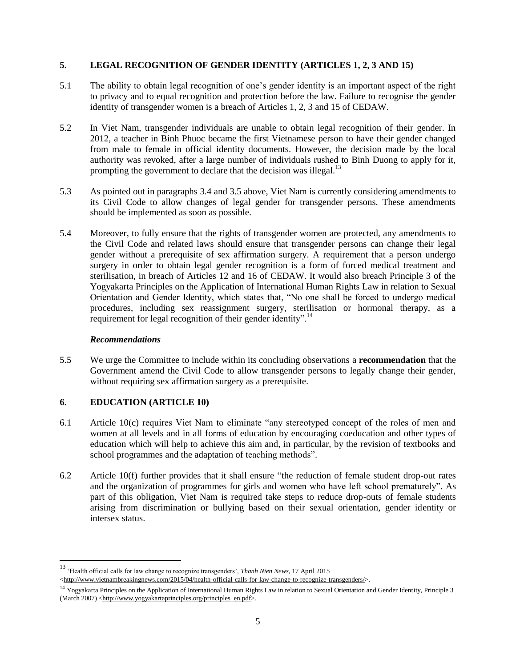# **5. LEGAL RECOGNITION OF GENDER IDENTITY (ARTICLES 1, 2, 3 AND 15)**

- 5.1 The ability to obtain legal recognition of one's gender identity is an important aspect of the right to privacy and to equal recognition and protection before the law. Failure to recognise the gender identity of transgender women is a breach of Articles 1, 2, 3 and 15 of CEDAW.
- 5.2 In Viet Nam, transgender individuals are unable to obtain legal recognition of their gender. In 2012, a teacher in Binh Phuoc became the first Vietnamese person to have their gender changed from male to female in official identity documents. However, the decision made by the local authority was revoked, after a large number of individuals rushed to Binh Duong to apply for it, prompting the government to declare that the decision was illegal.<sup>13</sup>
- 5.3 As pointed out in paragraphs 3.4 and 3.5 above, Viet Nam is currently considering amendments to its Civil Code to allow changes of legal gender for transgender persons. These amendments should be implemented as soon as possible.
- 5.4 Moreover, to fully ensure that the rights of transgender women are protected, any amendments to the Civil Code and related laws should ensure that transgender persons can change their legal gender without a prerequisite of sex affirmation surgery. A requirement that a person undergo surgery in order to obtain legal gender recognition is a form of forced medical treatment and sterilisation, in breach of Articles 12 and 16 of CEDAW. It would also breach Principle 3 of the Yogyakarta Principles on the Application of International Human Rights Law in relation to Sexual Orientation and Gender Identity, which states that, "No one shall be forced to undergo medical procedures, including sex reassignment surgery, sterilisation or hormonal therapy, as a requirement for legal recognition of their gender identity".<sup>14</sup>

## *Recommendations*

5.5 We urge the Committee to include within its concluding observations a **recommendation** that the Government amend the Civil Code to allow transgender persons to legally change their gender, without requiring sex affirmation surgery as a prerequisite.

## **6. EDUCATION (ARTICLE 10)**

- 6.1 Article 10(c) requires Viet Nam to eliminate "any stereotyped concept of the roles of men and women at all levels and in all forms of education by encouraging coeducation and other types of education which will help to achieve this aim and, in particular, by the revision of textbooks and school programmes and the adaptation of teaching methods".
- 6.2 Article 10(f) further provides that it shall ensure "the reduction of female student drop-out rates and the organization of programmes for girls and women who have left school prematurely". As part of this obligation, Viet Nam is required take steps to reduce drop-outs of female students arising from discrimination or bullying based on their sexual orientation, gender identity or intersex status.

<sup>13</sup> 'Health official calls for law change to recognize transgenders', *Thanh Nien News*, 17 April 2015

[<sup>&</sup>lt;http://www.vietnambreakingnews.com/2015/04/health-official-calls-for-law-change-to-recognize-transgenders/>](http://www.vietnambreakingnews.com/2015/04/health-official-calls-for-law-change-to-recognize-transgenders/).

<sup>&</sup>lt;sup>14</sup> Yogyakarta Principles on the Application of International Human Rights Law in relation to Sexual Orientation and Gender Identity, Principle 3 (March 2007) [<http://www.yogyakartaprinciples.org/principles\\_en.pdf>](http://www.yogyakartaprinciples.org/principles_en.pdf).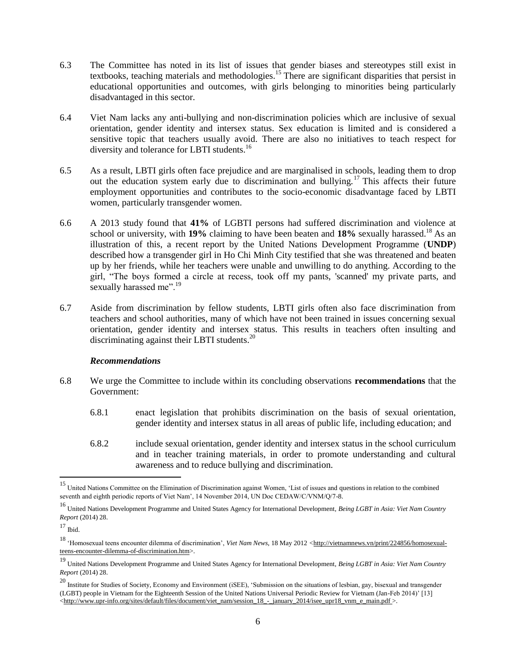- 6.3 The Committee has noted in its list of issues that gender biases and stereotypes still exist in textbooks, teaching materials and methodologies.<sup>15</sup> There are significant disparities that persist in educational opportunities and outcomes, with girls belonging to minorities being particularly disadvantaged in this sector.
- 6.4 Viet Nam lacks any anti-bullying and non-discrimination policies which are inclusive of sexual orientation, gender identity and intersex status. Sex education is limited and is considered a sensitive topic that teachers usually avoid. There are also no initiatives to teach respect for diversity and tolerance for LBTI students.<sup>16</sup>
- 6.5 As a result, LBTI girls often face prejudice and are marginalised in schools, leading them to drop out the education system early due to discrimination and bullying.<sup>17</sup> This affects their future employment opportunities and contributes to the socio-economic disadvantage faced by LBTI women, particularly transgender women.
- 6.6 A 2013 study found that **41%** of LGBTI persons had suffered discrimination and violence at school or university, with **19%** claiming to have been beaten and **18%** sexually harassed.<sup>18</sup> As an illustration of this, a recent report by the United Nations Development Programme (**UNDP**) described how a transgender girl in Ho Chi Minh City testified that she was threatened and beaten up by her friends, while her teachers were unable and unwilling to do anything. According to the girl, "The boys formed a circle at recess, took off my pants, 'scanned' my private parts, and sexually harassed me".<sup>19</sup>
- 6.7 Aside from discrimination by fellow students, LBTI girls often also face discrimination from teachers and school authorities, many of which have not been trained in issues concerning sexual orientation, gender identity and intersex status. This results in teachers often insulting and discriminating against their LBTI students.<sup>20</sup>

- 6.8 We urge the Committee to include within its concluding observations **recommendations** that the Government:
	- 6.8.1 enact legislation that prohibits discrimination on the basis of sexual orientation, gender identity and intersex status in all areas of public life, including education; and
	- 6.8.2 include sexual orientation, gender identity and intersex status in the school curriculum and in teacher training materials, in order to promote understanding and cultural awareness and to reduce bullying and discrimination.

<sup>&</sup>lt;sup>15</sup> United Nations Committee on the Elimination of Discrimination against Women, 'List of issues and questions in relation to the combined seventh and eighth periodic reports of Viet Nam', 14 November 2014, UN Doc CEDAW/C/VNM/0/7-8.

<sup>16</sup> United Nations Development Programme and United States Agency for International Development, *Being LGBT in Asia: Viet Nam Country Report* (2014) 28.

 $17$  Ibid.

<sup>&</sup>lt;sup>18</sup> 'Homosexual teens encounter dilemma of discrimination', *Viet Nam News*, 18 May 2012 <[http://vietnamnews.vn/print/224856/homosexual](http://vietnamnews.vn/print/224856/homosexual-teens-encounter-dilemma-of-discrimination.htm)[teens-encounter-dilemma-of-discrimination.htm>](http://vietnamnews.vn/print/224856/homosexual-teens-encounter-dilemma-of-discrimination.htm).

<sup>19</sup> United Nations Development Programme and United States Agency for International Development, *Being LGBT in Asia: Viet Nam Country Report* (2014) 28.

<sup>20</sup> Institute for Studies of Society, Economy and Environment (iSEE), 'Submission on the situations of lesbian, gay, bisexual and transgender (LGBT) people in Vietnam for the Eighteenth Session of the United Nations Universal Periodic Review for Vietnam (Jan-Feb 2014)' [13] [<http://www.upr-info.org/sites/default/files/document/viet\\_nam/session\\_18\\_-\\_january\\_2014/isee\\_upr18\\_vnm\\_e\\_main.pdf >](http://www.upr-info.org/sites/default/files/document/viet_nam/session_18_-_january_2014/isee_upr18_vnm_e_main.pdf).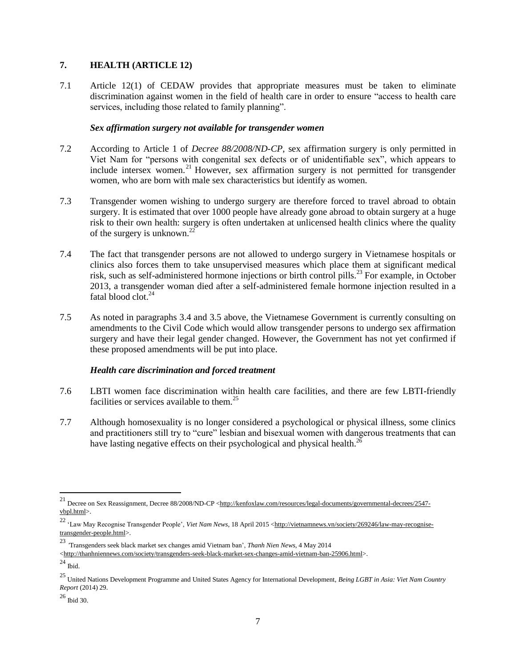# **7. HEALTH (ARTICLE 12)**

7.1 Article 12(1) of CEDAW provides that appropriate measures must be taken to eliminate discrimination against women in the field of health care in order to ensure "access to health care services, including those related to family planning".

#### *Sex affirmation surgery not available for transgender women*

- 7.2 According to Article 1 of *Decree 88/2008/ND-CP*, sex affirmation surgery is only permitted in Viet Nam for "persons with congenital sex defects or of unidentifiable sex", which appears to include intersex women.<sup>21</sup> However, sex affirmation surgery is not permitted for transgender women, who are born with male sex characteristics but identify as women.
- 7.3 Transgender women wishing to undergo surgery are therefore forced to travel abroad to obtain surgery. It is estimated that over 1000 people have already gone abroad to obtain surgery at a huge risk to their own health: surgery is often undertaken at unlicensed health clinics where the quality of the surgery is unknown.<sup>22</sup>
- 7.4 The fact that transgender persons are not allowed to undergo surgery in Vietnamese hospitals or clinics also forces them to take unsupervised measures which place them at significant medical risk, such as self-administered hormone injections or birth control pills.<sup>23</sup> For example, in October 2013, a transgender woman died after a self-administered female hormone injection resulted in a fatal blood clot.<sup>24</sup>
- 7.5 As noted in paragraphs 3.4 and 3.5 above, the Vietnamese Government is currently consulting on amendments to the Civil Code which would allow transgender persons to undergo sex affirmation surgery and have their legal gender changed. However, the Government has not yet confirmed if these proposed amendments will be put into place.

## *Health care discrimination and forced treatment*

- 7.6 LBTI women face discrimination within health care facilities, and there are few LBTI-friendly facilities or services available to them.<sup>25</sup>
- 7.7 Although homosexuality is no longer considered a psychological or physical illness, some clinics and practitioners still try to "cure" lesbian and bisexual women with dangerous treatments that can have lasting negative effects on their psychological and physical health.<sup>26</sup>

<sup>&</sup>lt;sup>21</sup> Decree on Sex Reassignment, Decree 88/2008/ND-CP <**http://kenfoxlaw.com/resources/legal-documents/governmental-decrees/2547**[vbpl.html>](http://kenfoxlaw.com/resources/legal-documents/governmental-decrees/2547-vbpl.html).

<sup>&</sup>lt;sup>22</sup> 'Law May Recognise Transgender People', *Viet Nam News*, 18 April 2015 [<http://vietnamnews.vn/society/269246/law-may-recognise](http://vietnamnews.vn/society/269246/law-may-recognise-transgender-people.html)[transgender-people.html>](http://vietnamnews.vn/society/269246/law-may-recognise-transgender-people.html).

<sup>23</sup> *'*Transgenders seek black market sex changes amid Vietnam ban', *Thanh Nien News*, 4 May 2014

[<sup>&</sup>lt;http://thanhniennews.com/society/transgenders-seek-black-market-sex-changes-amid-vietnam-ban-25906.html>](http://thanhniennews.com/society/transgenders-seek-black-market-sex-changes-amid-vietnam-ban-25906.html).

 $^\mathrm{24}$  Ibid.

<sup>25</sup> United Nations Development Programme and United States Agency for International Development, *Being LGBT in Asia: Viet Nam Country Report* (2014) 29.

 $^{\rm 26}$  Ibid 30.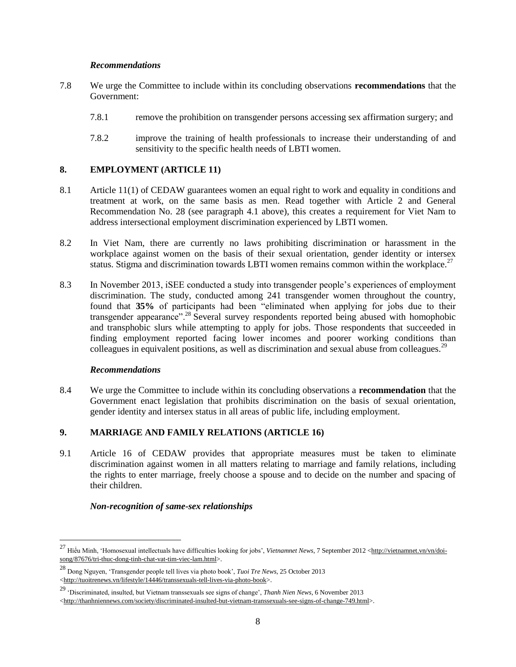- 7.8 We urge the Committee to include within its concluding observations **recommendations** that the Government:
	- 7.8.1 remove the prohibition on transgender persons accessing sex affirmation surgery; and
	- 7.8.2 improve the training of health professionals to increase their understanding of and sensitivity to the specific health needs of LBTI women.

# **8. EMPLOYMENT (ARTICLE 11)**

- 8.1 Article 11(1) of CEDAW guarantees women an equal right to work and equality in conditions and treatment at work, on the same basis as men. Read together with Article 2 and General Recommendation No. 28 (see paragraph 4.1 above), this creates a requirement for Viet Nam to address intersectional employment discrimination experienced by LBTI women.
- 8.2 In Viet Nam, there are currently no laws prohibiting discrimination or harassment in the workplace against women on the basis of their sexual orientation, gender identity or intersex status. Stigma and discrimination towards LBTI women remains common within the workplace.<sup>27</sup>
- 8.3 In November 2013, iSEE conducted a study into transgender people's experiences of employment discrimination. The study, conducted among 241 transgender women throughout the country, found that **35%** of participants had been "eliminated when applying for jobs due to their transgender appearance".<sup>28</sup> Several survey respondents reported being abused with homophobic and transphobic slurs while attempting to apply for jobs. Those respondents that succeeded in finding employment reported facing lower incomes and poorer working conditions than colleagues in equivalent positions, as well as discrimination and sexual abuse from colleagues.<sup>29</sup>

## *Recommendations*

 $\overline{\phantom{a}}$ 

8.4 We urge the Committee to include within its concluding observations a **recommendation** that the Government enact legislation that prohibits discrimination on the basis of sexual orientation, gender identity and intersex status in all areas of public life, including employment.

## **9. MARRIAGE AND FAMILY RELATIONS (ARTICLE 16)**

9.1 Article 16 of CEDAW provides that appropriate measures must be taken to eliminate discrimination against women in all matters relating to marriage and family relations, including the rights to enter marriage, freely choose a spouse and to decide on the number and spacing of their children.

## *Non-recognition of same-sex relationships*

<sup>&</sup>lt;sup>27</sup> Hiểu Minh, 'Homosexual intellectuals have difficulties looking for jobs', *Vietnamnet News*, 7 September 2012 [<http://vietnamnet.vn/vn/doi](http://vietnamnet.vn/vn/doi-song/87676/tri-thuc-dong-tinh-chat-vat-tim-viec-lam.html)[song/87676/tri-thuc-dong-tinh-chat-vat-tim-viec-lam.html>](http://vietnamnet.vn/vn/doi-song/87676/tri-thuc-dong-tinh-chat-vat-tim-viec-lam.html).

<sup>28</sup> Dong Nguyen, 'Transgender people tell lives via photo book', *Tuoi Tre News*, 25 October 2013 [<http://tuoitrenews.vn/lifestyle/14446/transsexuals-tell-lives-via-photo-book>](http://tuoitrenews.vn/lifestyle/14446/transsexuals-tell-lives-via-photo-book).

<sup>29</sup> 'Discriminated, insulted, but Vietnam transsexuals see signs of change', *Thanh Nien News*, 6 November 2013

[<sup>&</sup>lt;http://thanhniennews.com/society/discriminated-insulted-but-vietnam-transsexuals-see-signs-of-change-749.html>](http://thanhniennews.com/society/discriminated-insulted-but-vietnam-transsexuals-see-signs-of-change-749.html).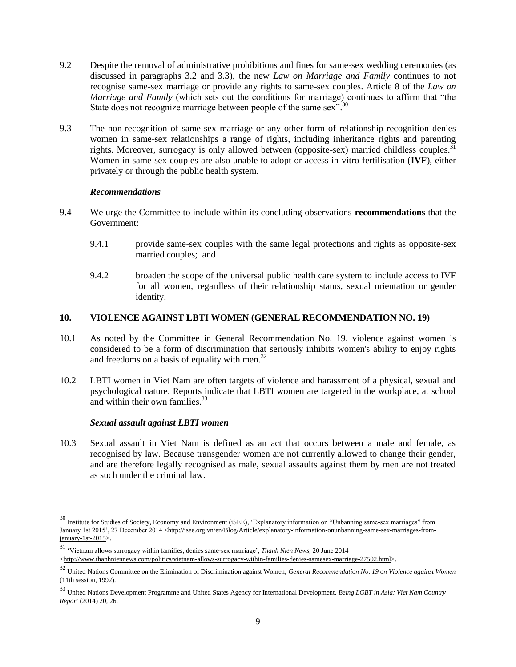- 9.2 Despite the removal of administrative prohibitions and fines for same-sex wedding ceremonies (as discussed in paragraphs 3.2 and 3.3), the new *Law on Marriage and Family* continues to not recognise same-sex marriage or provide any rights to same-sex couples. Article 8 of the *Law on Marriage and Family* (which sets out the conditions for marriage) continues to affirm that "the State does not recognize marriage between people of the same sex".<sup>30</sup>
- 9.3 The non-recognition of same-sex marriage or any other form of relationship recognition denies women in same-sex relationships a range of rights, including inheritance rights and parenting rights. Moreover, surrogacy is only allowed between (opposite-sex) married childless couples. $31$ Women in same-sex couples are also unable to adopt or access in-vitro fertilisation (**IVF**), either privately or through the public health system.

- 9.4 We urge the Committee to include within its concluding observations **recommendations** that the Government:
	- 9.4.1 provide same-sex couples with the same legal protections and rights as opposite-sex married couples; and
	- 9.4.2 broaden the scope of the universal public health care system to include access to IVF for all women, regardless of their relationship status, sexual orientation or gender identity.

## **10. VIOLENCE AGAINST LBTI WOMEN (GENERAL RECOMMENDATION NO. 19)**

- 10.1 As noted by the Committee in General Recommendation No. 19, violence against women is considered to be a form of discrimination that seriously inhibits women's ability to enjoy rights and freedoms on a basis of equality with men.<sup>32</sup>
- 10.2 LBTI women in Viet Nam are often targets of violence and harassment of a physical, sexual and psychological nature. Reports indicate that LBTI women are targeted in the workplace, at school and within their own families.<sup>33</sup>

#### *Sexual assault against LBTI women*

 $\overline{\phantom{a}}$ 

10.3 Sexual assault in Viet Nam is defined as an act that occurs between a male and female, as recognised by law. Because transgender women are not currently allowed to change their gender, and are therefore legally recognised as male, sexual assaults against them by men are not treated as such under the criminal law.

<sup>&</sup>lt;sup>30</sup> Institute for Studies of Society, Economy and Environment (iSEE), 'Explanatory information on "Unbanning same-sex marriages" from January 1st 2015', 27 December 2014 [<http://isee.org.vn/en/Blog/Article/explanatory-information-onunbanning-same-sex-marriages-from](http://isee.org.vn/en/Blog/Article/explanatory-information-onunbanning-same-sex-marriages-from-january-1st-2015) $january-1st-2015$ .

<sup>31</sup> 'Vietnam allows surrogacy within families, denies same-sex marriage', *Thanh Nien News*, 20 June 2014

[<sup>&</sup>lt;http://www.thanhniennews.com/politics/vietnam-allows-surrogacy-within-families-denies-samesex-marriage-27502.html>](http://www.thanhniennews.com/politics/vietnam-allows-surrogacy-within-families-denies-samesex-marriage-27502.html).

<sup>32</sup> United Nations Committee on the Elimination of Discrimination against Women, *General Recommendation No. 19 on Violence against Women* (11th session, 1992).

<sup>33</sup> United Nations Development Programme and United States Agency for International Development, *Being LGBT in Asia: Viet Nam Country Report* (2014) 20, 26.